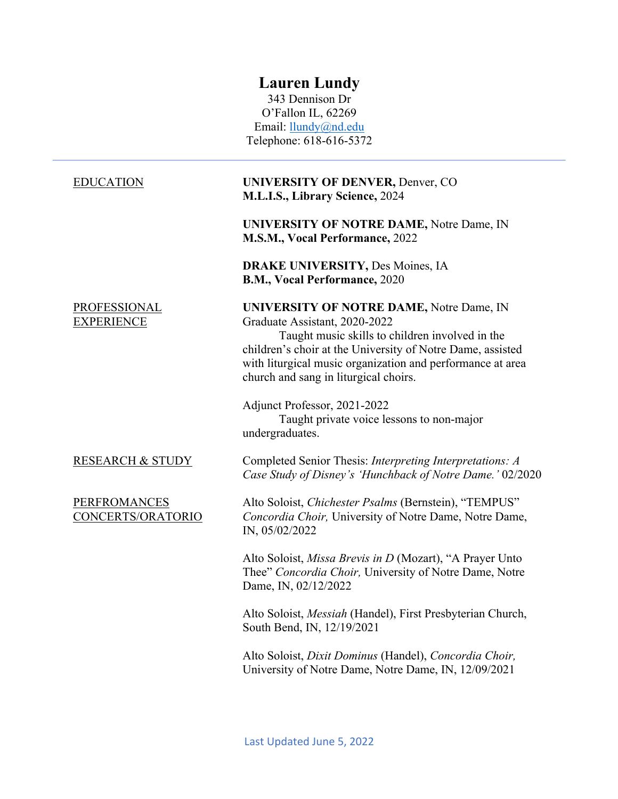# **Lauren Lundy**

343 Dennison Dr O'Fallon IL, 62269 Email: llundy@nd.edu Telephone: 618-616-5372

## EDUCATION

## PROFESSIONAL EXPERIENCE

### RESEARCH & STUDY

### PERFROMANCES CONCERTS/ORATORIO

## **UNIVERSITY OF DENVER,** Denver, CO **M.L.I.S., Library Science,** 2024

**UNIVERSITY OF NOTRE DAME,** Notre Dame, IN **M.S.M., Vocal Performance,** 2022

**DRAKE UNIVERSITY,** Des Moines, IA **B.M., Vocal Performance,** 2020

### **UNIVERSITY OF NOTRE DAME,** Notre Dame, IN Graduate Assistant, 2020-2022

Taught music skills to children involved in the children's choir at the University of Notre Dame, assisted with liturgical music organization and performance at area church and sang in liturgical choirs.

Adjunct Professor, 2021-2022 Taught private voice lessons to non-major undergraduates.

Completed Senior Thesis: *Interpreting Interpretations: A Case Study of Disney's 'Hunchback of Notre Dame.'* 02/2020

Alto Soloist, *Chichester Psalms* (Bernstein), "TEMPUS" *Concordia Choir,* University of Notre Dame, Notre Dame, IN, 05/02/2022

Alto Soloist, *Missa Brevis in D* (Mozart), "A Prayer Unto Thee" *Concordia Choir,* University of Notre Dame, Notre Dame, IN, 02/12/2022

Alto Soloist, *Messiah* (Handel), First Presbyterian Church, South Bend, IN, 12/19/2021

Alto Soloist, *Dixit Dominus* (Handel), *Concordia Choir,*  University of Notre Dame, Notre Dame, IN, 12/09/2021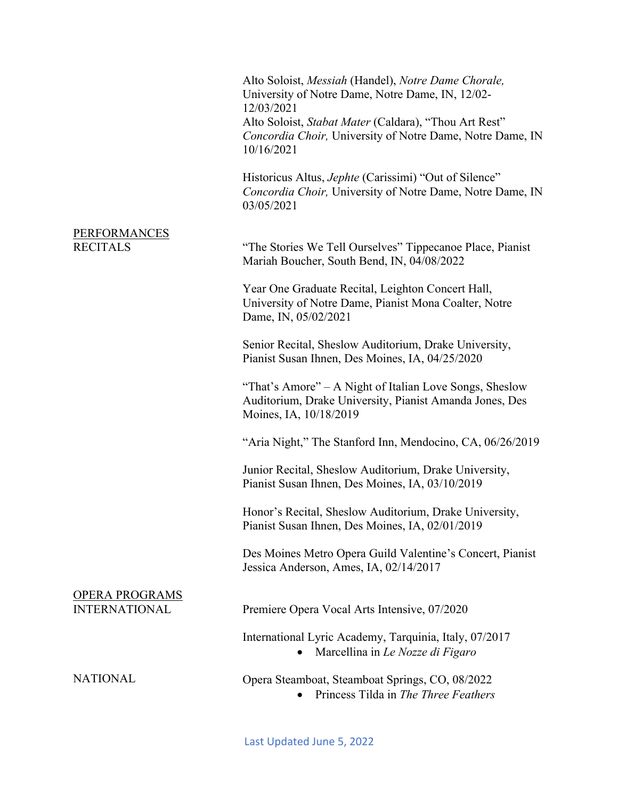Alto Soloist, *Messiah* (Handel), *Notre Dame Chorale,*  University of Notre Dame, Notre Dame, IN, 12/02- 12/03/2021 Alto Soloist, *Stabat Mater* (Caldara), "Thou Art Rest" *Concordia Choir,* University of Notre Dame, Notre Dame, IN 10/16/2021

Historicus Altus, *Jephte* (Carissimi) "Out of Silence" *Concordia Choir,* University of Notre Dame, Notre Dame, IN 03/05/2021

### PERFORMANCES RECITALS

"The Stories We Tell Ourselves" Tippecanoe Place, Pianist Mariah Boucher, South Bend, IN, 04/08/2022

Year One Graduate Recital, Leighton Concert Hall, University of Notre Dame, Pianist Mona Coalter, Notre Dame, IN, 05/02/2021

Senior Recital, Sheslow Auditorium, Drake University, Pianist Susan Ihnen, Des Moines, IA, 04/25/2020

"That's Amore" – A Night of Italian Love Songs, Sheslow Auditorium, Drake University, Pianist Amanda Jones, Des Moines, IA, 10/18/2019

"Aria Night," The Stanford Inn, Mendocino, CA, 06/26/2019

Junior Recital, Sheslow Auditorium, Drake University, Pianist Susan Ihnen, Des Moines, IA, 03/10/2019

Honor's Recital, Sheslow Auditorium, Drake University, Pianist Susan Ihnen, Des Moines, IA, 02/01/2019

Des Moines Metro Opera Guild Valentine's Concert, Pianist Jessica Anderson, Ames, IA, 02/14/2017

# Premiere Opera Vocal Arts Intensive, 07/2020

International Lyric Academy, Tarquinia, Italy, 07/2017

• Marcellina in *Le Nozze di Figaro*

## Opera Steamboat, Steamboat Springs, CO, 08/2022

• Princess Tilda in *The Three Feathers*

**NATIONAL** 

OPERA PROGRAMS INTERNATIONAL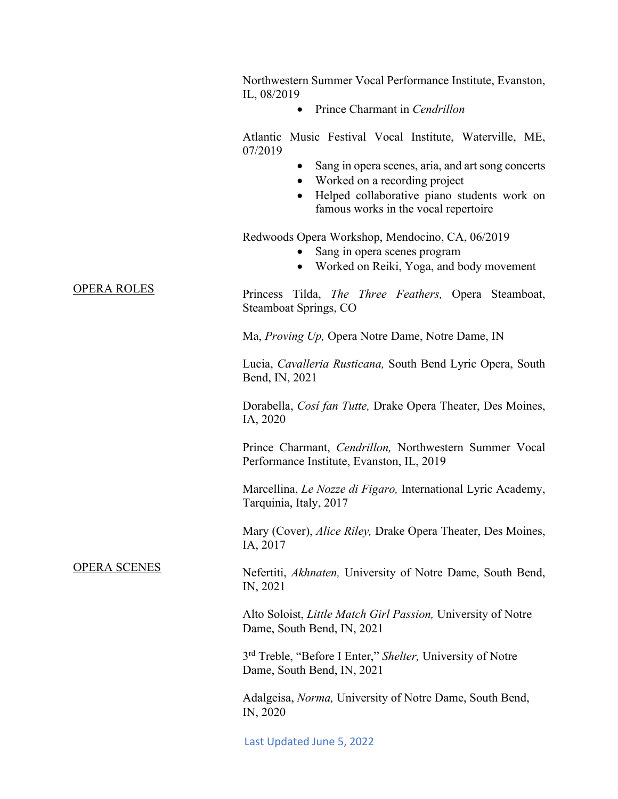|                                           | Northwestern Summer Vocal Performance Institute, Evanston,<br>IL, 08/2019                                                                                                              |
|-------------------------------------------|----------------------------------------------------------------------------------------------------------------------------------------------------------------------------------------|
|                                           | Prince Charmant in Cendrillon<br>$\bullet$                                                                                                                                             |
| <b>OPERA ROLES</b><br><b>OPERA SCENES</b> | Atlantic Music Festival Vocal Institute, Waterville, ME,<br>07/2019                                                                                                                    |
|                                           | Sang in opera scenes, aria, and art song concerts<br>Worked on a recording project<br>$\bullet$<br>Helped collaborative piano students work on<br>famous works in the vocal repertoire |
|                                           | Redwoods Opera Workshop, Mendocino, CA, 06/2019<br>Sang in opera scenes program<br>Worked on Reiki, Yoga, and body movement<br>$\bullet$                                               |
|                                           | Princess Tilda, <i>The Three Feathers</i> , Opera Steamboat,<br>Steamboat Springs, CO                                                                                                  |
|                                           | Ma, Proving Up, Opera Notre Dame, Notre Dame, IN                                                                                                                                       |
|                                           | Lucia, Cavalleria Rusticana, South Bend Lyric Opera, South<br>Bend, IN, 2021                                                                                                           |
|                                           | Dorabella, Cosi fan Tutte, Drake Opera Theater, Des Moines,<br>IA, 2020                                                                                                                |
|                                           | Prince Charmant, Cendrillon, Northwestern Summer Vocal<br>Performance Institute, Evanston, IL, 2019                                                                                    |
|                                           | Marcellina, Le Nozze di Figaro, International Lyric Academy,<br>Tarquinia, Italy, 2017                                                                                                 |
|                                           | Mary (Cover), Alice Riley, Drake Opera Theater, Des Moines,<br>IA, 2017                                                                                                                |
|                                           | Nefertiti, Akhnaten, University of Notre Dame, South Bend,<br>IN, 2021                                                                                                                 |
|                                           | Alto Soloist, Little Match Girl Passion, University of Notre<br>Dame, South Bend, IN, 2021                                                                                             |
|                                           | 3 <sup>rd</sup> Treble, "Before I Enter," Shelter, University of Notre<br>Dame, South Bend, IN, 2021                                                                                   |
|                                           | Adalgeisa, <i>Norma</i> , University of Notre Dame, South Bend,<br>IN, 2020                                                                                                            |
|                                           | Last Updated June 5, 2022                                                                                                                                                              |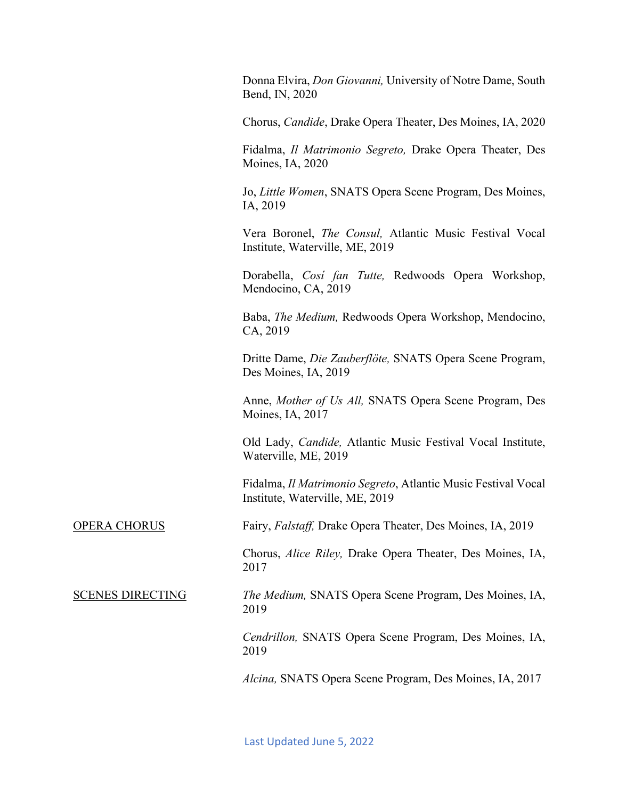Donna Elvira, *Don Giovanni,* University of Notre Dame, South Bend, IN, 2020

Chorus, *Candide*, Drake Opera Theater, Des Moines, IA, 2020

Fidalma, *Il Matrimonio Segreto,* Drake Opera Theater, Des Moines, IA, 2020

Jo, *Little Women*, SNATS Opera Scene Program, Des Moines, IA, 2019

Vera Boronel, *The Consul,* Atlantic Music Festival Vocal Institute, Waterville, ME, 2019

Dorabella, *Cosí fan Tutte,* Redwoods Opera Workshop, Mendocino, CA, 2019

Baba, *The Medium,* Redwoods Opera Workshop, Mendocino, CA, 2019

Dritte Dame, *Die Zauberflöte,* SNATS Opera Scene Program, Des Moines, IA, 2019

Anne, *Mother of Us All,* SNATS Opera Scene Program, Des Moines, IA, 2017

Old Lady, *Candide,* Atlantic Music Festival Vocal Institute, Waterville, ME, 2019

Fidalma, *Il Matrimonio Segreto*, Atlantic Music Festival Vocal Institute, Waterville, ME, 2019

Fairy, *Falstaff,* Drake Opera Theater, Des Moines, IA, 2019

Chorus, *Alice Riley,* Drake Opera Theater, Des Moines, IA, 2017

*The Medium,* SNATS Opera Scene Program, Des Moines, IA, 2019

*Cendrillon,* SNATS Opera Scene Program, Des Moines, IA, 2019

*Alcina,* SNATS Opera Scene Program, Des Moines, IA, 2017

OPERA CHORUS

SCENES DIRECTING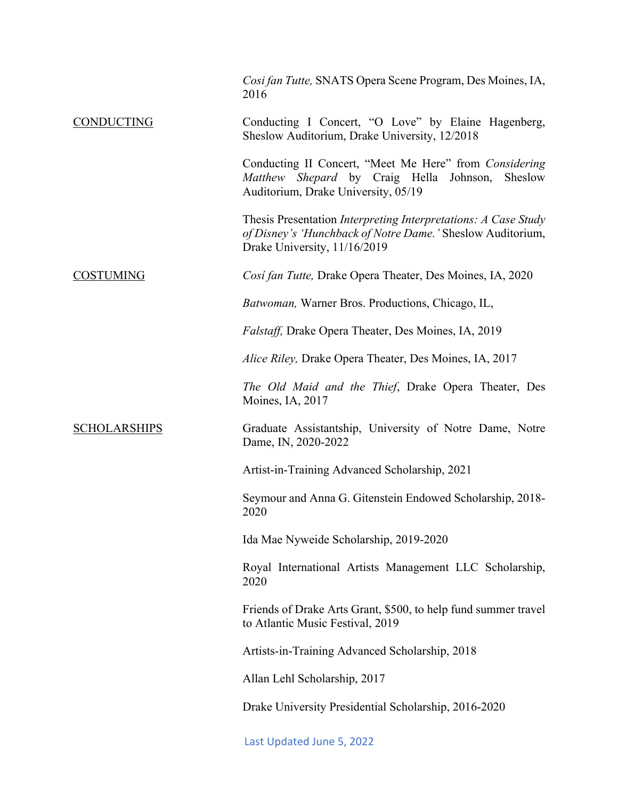|                     | Cosi fan Tutte, SNATS Opera Scene Program, Des Moines, IA,<br>2016                                                                                           |
|---------------------|--------------------------------------------------------------------------------------------------------------------------------------------------------------|
| <b>CONDUCTING</b>   | Conducting I Concert, "O Love" by Elaine Hagenberg,<br>Sheslow Auditorium, Drake University, 12/2018                                                         |
|                     | Conducting II Concert, "Meet Me Here" from Considering<br>Matthew Shepard by Craig Hella Johnson,<br>Sheslow<br>Auditorium, Drake University, 05/19          |
|                     | Thesis Presentation Interpreting Interpretations: A Case Study<br>of Disney's 'Hunchback of Notre Dame.' Sheslow Auditorium,<br>Drake University, 11/16/2019 |
| <b>COSTUMING</b>    | Cosi fan Tutte, Drake Opera Theater, Des Moines, IA, 2020                                                                                                    |
|                     | Batwoman, Warner Bros. Productions, Chicago, IL,                                                                                                             |
|                     | Falstaff, Drake Opera Theater, Des Moines, IA, 2019                                                                                                          |
|                     | Alice Riley, Drake Opera Theater, Des Moines, IA, 2017                                                                                                       |
|                     | The Old Maid and the Thief, Drake Opera Theater, Des<br>Moines, IA, 2017                                                                                     |
| <b>SCHOLARSHIPS</b> | Graduate Assistantship, University of Notre Dame, Notre<br>Dame, IN, 2020-2022                                                                               |
|                     | Artist-in-Training Advanced Scholarship, 2021                                                                                                                |
|                     | Seymour and Anna G. Gitenstein Endowed Scholarship, 2018-<br>2020                                                                                            |
|                     | Ida Mae Nyweide Scholarship, 2019-2020                                                                                                                       |
|                     | Royal International Artists Management LLC Scholarship,<br>2020                                                                                              |
|                     | Friends of Drake Arts Grant, \$500, to help fund summer travel<br>to Atlantic Music Festival, 2019                                                           |
|                     | Artists-in-Training Advanced Scholarship, 2018                                                                                                               |
|                     | Allan Lehl Scholarship, 2017                                                                                                                                 |
|                     | Drake University Presidential Scholarship, 2016-2020                                                                                                         |
|                     | Last Updated June 5, 2022                                                                                                                                    |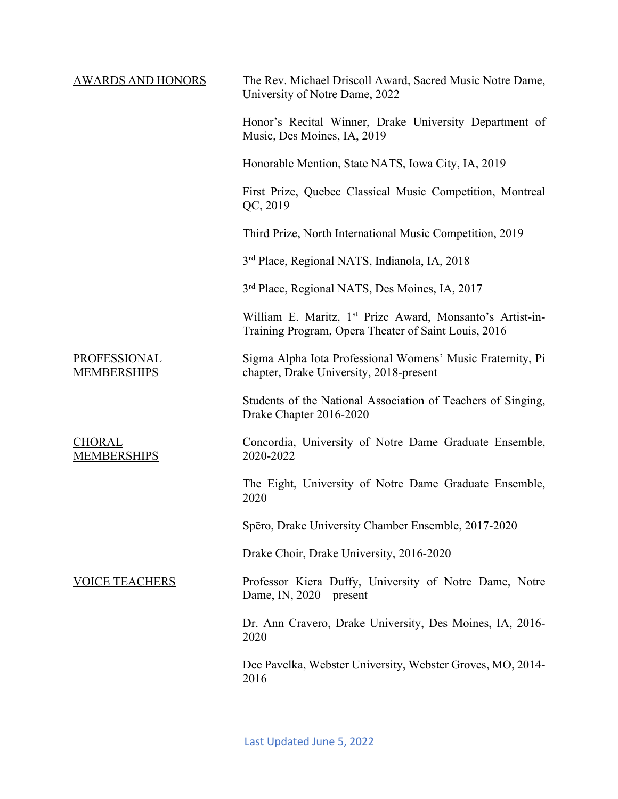| <b>AWARDS AND HONORS</b>            | The Rev. Michael Driscoll Award, Sacred Music Notre Dame,<br>University of Notre Dame, 2022                                   |
|-------------------------------------|-------------------------------------------------------------------------------------------------------------------------------|
|                                     | Honor's Recital Winner, Drake University Department of<br>Music, Des Moines, IA, 2019                                         |
|                                     | Honorable Mention, State NATS, Iowa City, IA, 2019                                                                            |
|                                     | First Prize, Quebec Classical Music Competition, Montreal<br>QC, 2019                                                         |
|                                     | Third Prize, North International Music Competition, 2019                                                                      |
|                                     | 3 <sup>rd</sup> Place, Regional NATS, Indianola, IA, 2018                                                                     |
|                                     | 3 <sup>rd</sup> Place, Regional NATS, Des Moines, IA, 2017                                                                    |
|                                     | William E. Maritz, 1 <sup>st</sup> Prize Award, Monsanto's Artist-in-<br>Training Program, Opera Theater of Saint Louis, 2016 |
| PROFESSIONAL<br><b>MEMBERSHIPS</b>  | Sigma Alpha Iota Professional Womens' Music Fraternity, Pi<br>chapter, Drake University, 2018-present                         |
|                                     | Students of the National Association of Teachers of Singing,<br>Drake Chapter 2016-2020                                       |
| <b>CHORAL</b><br><b>MEMBERSHIPS</b> | Concordia, University of Notre Dame Graduate Ensemble,<br>2020-2022                                                           |
|                                     | The Eight, University of Notre Dame Graduate Ensemble,<br>2020                                                                |
|                                     | Spēro, Drake University Chamber Ensemble, 2017-2020                                                                           |
|                                     | Drake Choir, Drake University, 2016-2020                                                                                      |
| <b>VOICE TEACHERS</b>               | Professor Kiera Duffy, University of Notre Dame, Notre<br>Dame, IN, $2020$ – present                                          |
|                                     | Dr. Ann Cravero, Drake University, Des Moines, IA, 2016-<br>2020                                                              |
|                                     | Dee Pavelka, Webster University, Webster Groves, MO, 2014-<br>2016                                                            |